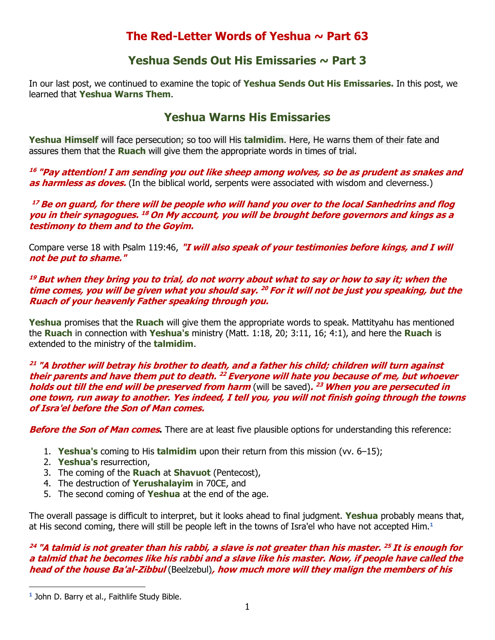# **The Red-Letter Words of Yeshua ~ Part 63**

## **Yeshua Sends Out His Emissaries ~ Part 3**

In our last post, we continued to examine the topic of **Yeshua Sends Out His Emissaries.** In this post, we learned that **Yeshua Warns Them**.

# **Yeshua Warns His Emissaries**

**Yeshua Himself** will face persecution; so too will His **talmidim**. Here, He warns them of their fate and assures them that the **Ruach** will give them the appropriate words in times of trial.

**<sup>16</sup> "Pay attention! I am sending you out like sheep among wolves, so be as prudent as snakes and as harmless as doves.** (In the biblical world, serpents were associated with wisdom and cleverness.)

**<sup>17</sup> Be on guard, for there will be people who will hand you over to the local Sanhedrins and flog you in their synagogues. <sup>18</sup> On My account, you will be brought before governors and kings as a testimony to them and to the Goyim.** 

Compare verse 18 with Psalm 119:46, **"I will also speak of your testimonies before kings, and I will not be put to shame."**

### **<sup>19</sup> But when they bring you to trial, do not worry about what to say or how to say it; when the time comes, you will be given what you should say. <sup>20</sup> For it will not be just you speaking, but the Ruach of your heavenly Father speaking through you.**

**Yeshua** promises that the **Ruach** will give them the appropriate words to speak. Mattityahu has mentioned the **Ruach** in connection with **Yeshua's** ministry (Matt. 1:18, 20; 3:11, 16; 4:1), and here the **Ruach** is extended to the ministry of the **talmidim**.

#### **<sup>21</sup> "A brother will betray his brother to death, and a father his child; children will turn against their parents and have them put to death. <sup>22</sup> Everyone will hate you because of me, but whoever holds out till the end will be preserved from harm** (will be saved)**. <sup>23</sup> When you are persecuted in one town, run away to another. Yes indeed, I tell you, you will not finish going through the towns of Isra'el before the Son of Man comes.**

**Before the Son of Man comes.** There are at least five plausible options for understanding this reference:

- 1. **Yeshua's** coming to His **talmidim** upon their return from this mission (vv. 6–15);
- 2. **Yeshua's** resurrection,
- 3. The coming of the **Ruach** at **Shavuot** (Pentecost),
- 4. The destruction of **Yerushalayim** in 70CE, and
- 5. The second coming of **Yeshua** at the end of the age.

The overall passage is difficult to interpret, but it looks ahead to final judgment. **Yeshua** probably means that, at His second coming, there will still be people left in the towns of Isra'el who have not accepted Him.**<sup>1</sup>**

### **<sup>24</sup> "A talmid is not greater than his rabbi, a slave is not greater than his master. <sup>25</sup> It is enough for a talmid that he becomes like his rabbi and a slave like his master. Now, if people have called the head of the house Ba'al-Zibbul** (Beelzebul)**, how much more will they malign the members of his**

**<sup>1</sup>** John D. Barry et al., [Faithlife Study Bible.](https://ref.ly/logosres/fsb?ref=Bible.Mt10.23&off=6&ctx=ote+on+24%3a13.%0a10%3a23+~++There+are+at+least)